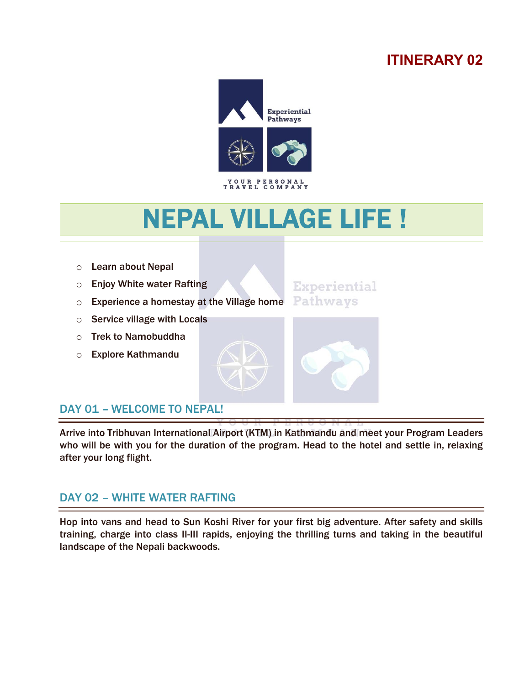# **ITINERARY 02**



# NEPAL VILLAGE LIFE !

o Learn about Nepal

í

l

- o Enjoy White water Rafting
- o Experience a homestay at the Village home
- o Service village with Locals
- o Trek to Namobuddha
- o Explore Kathmandu





Arrive into Tribhuvan International Airport (KTM) in Kathmandu and meet your Program Leaders who will be with you for the duration of the program. Head to the hotel and settle in, relaxing after your long flight.

### DAY 02 – WHITE WATER RAFTING

Hop into vans and head to Sun Koshi River for your first big adventure. After safety and skills training, charge into class II-III rapids, enjoying the thrilling turns and taking in the beautiful landscape of the Nepali backwoods.